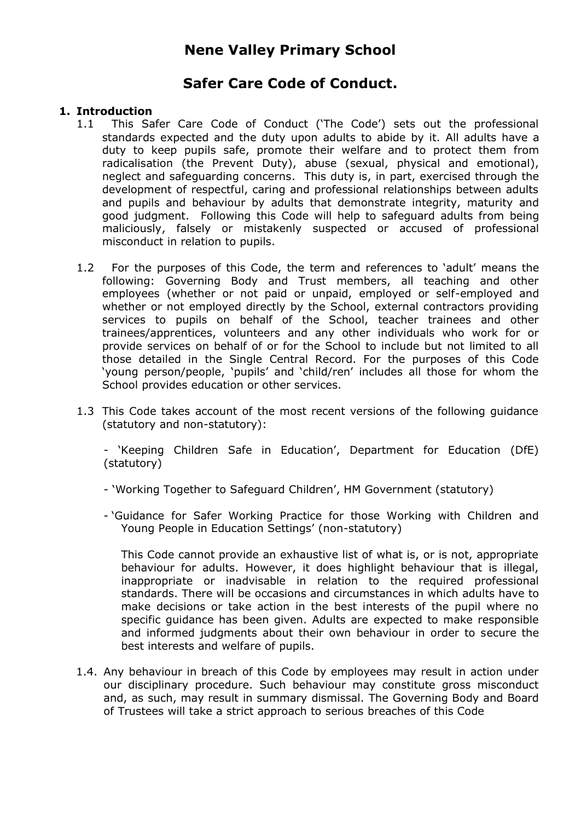# **Nene Valley Primary School**

# **Safer Care Code of Conduct.**

# **1. Introduction**

- 1.1 This Safer Care Code of Conduct ('The Code') sets out the professional standards expected and the duty upon adults to abide by it. All adults have a duty to keep pupils safe, promote their welfare and to protect them from radicalisation (the Prevent Duty), abuse (sexual, physical and emotional), neglect and safeguarding concerns. This duty is, in part, exercised through the development of respectful, caring and professional relationships between adults and pupils and behaviour by adults that demonstrate integrity, maturity and good judgment. Following this Code will help to safeguard adults from being maliciously, falsely or mistakenly suspected or accused of professional misconduct in relation to pupils.
- 1.2 For the purposes of this Code, the term and references to 'adult' means the following: Governing Body and Trust members, all teaching and other employees (whether or not paid or unpaid, employed or self-employed and whether or not employed directly by the School, external contractors providing services to pupils on behalf of the School, teacher trainees and other trainees/apprentices, volunteers and any other individuals who work for or provide services on behalf of or for the School to include but not limited to all those detailed in the Single Central Record. For the purposes of this Code 'young person/people, 'pupils' and 'child/ren' includes all those for whom the School provides education or other services.
- 1.3 This Code takes account of the most recent versions of the following guidance (statutory and non-statutory):

- 'Keeping Children Safe in Education', Department for Education (DfE) (statutory)

- 'Working Together to Safeguard Children', HM Government (statutory)
- 'Guidance for Safer Working Practice for those Working with Children and Young People in Education Settings' (non-statutory)

This Code cannot provide an exhaustive list of what is, or is not, appropriate behaviour for adults. However, it does highlight behaviour that is illegal, inappropriate or inadvisable in relation to the required professional standards. There will be occasions and circumstances in which adults have to make decisions or take action in the best interests of the pupil where no specific guidance has been given. Adults are expected to make responsible and informed judgments about their own behaviour in order to secure the best interests and welfare of pupils.

1.4. Any behaviour in breach of this Code by employees may result in action under our disciplinary procedure. Such behaviour may constitute gross misconduct and, as such, may result in summary dismissal. The Governing Body and Board of Trustees will take a strict approach to serious breaches of this Code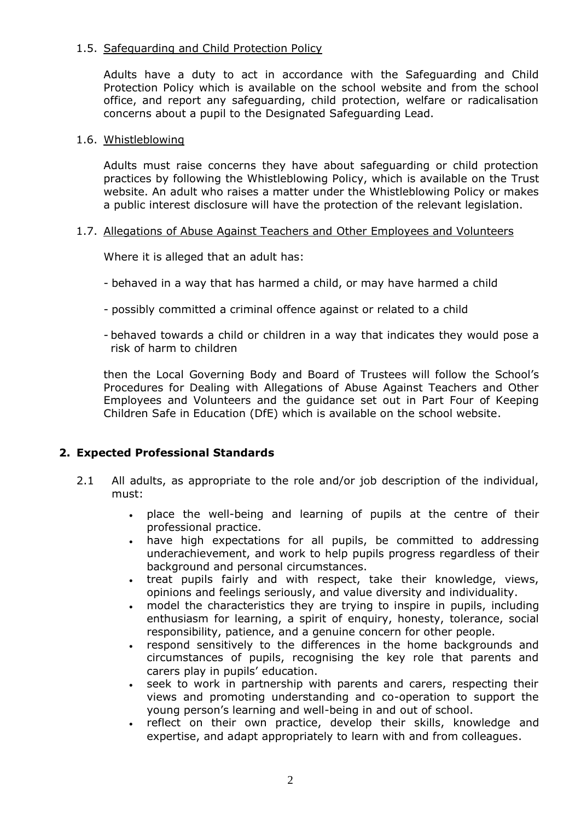# 1.5. Safeguarding and Child Protection Policy

Adults have a duty to act in accordance with the Safeguarding and Child Protection Policy which is available on the school website and from the school office, and report any safeguarding, child protection, welfare or radicalisation concerns about a pupil to the Designated Safeguarding Lead.

#### 1.6. Whistleblowing

Adults must raise concerns they have about safeguarding or child protection practices by following the Whistleblowing Policy, which is available on the Trust website. An adult who raises a matter under the Whistleblowing Policy or makes a public interest disclosure will have the protection of the relevant legislation.

#### 1.7. Allegations of Abuse Against Teachers and Other Employees and Volunteers

Where it is alleged that an adult has:

- behaved in a way that has harmed a child, or may have harmed a child
- possibly committed a criminal offence against or related to a child
- behaved towards a child or children in a way that indicates they would pose a risk of harm to children

then the Local Governing Body and Board of Trustees will follow the School's Procedures for Dealing with Allegations of Abuse Against Teachers and Other Employees and Volunteers and the guidance set out in Part Four of Keeping Children Safe in Education (DfE) which is available on the school website.

## **2. Expected Professional Standards**

- 2.1 All adults, as appropriate to the role and/or job description of the individual, must:
	- place the well-being and learning of pupils at the centre of their professional practice.
	- have high expectations for all pupils, be committed to addressing underachievement, and work to help pupils progress regardless of their background and personal circumstances.
	- treat pupils fairly and with respect, take their knowledge, views, opinions and feelings seriously, and value diversity and individuality.
	- model the characteristics they are trying to inspire in pupils, including enthusiasm for learning, a spirit of enquiry, honesty, tolerance, social responsibility, patience, and a genuine concern for other people.
	- respond sensitively to the differences in the home backgrounds and circumstances of pupils, recognising the key role that parents and carers play in pupils' education.
	- seek to work in partnership with parents and carers, respecting their views and promoting understanding and co-operation to support the young person's learning and well-being in and out of school.
	- reflect on their own practice, develop their skills, knowledge and expertise, and adapt appropriately to learn with and from colleagues.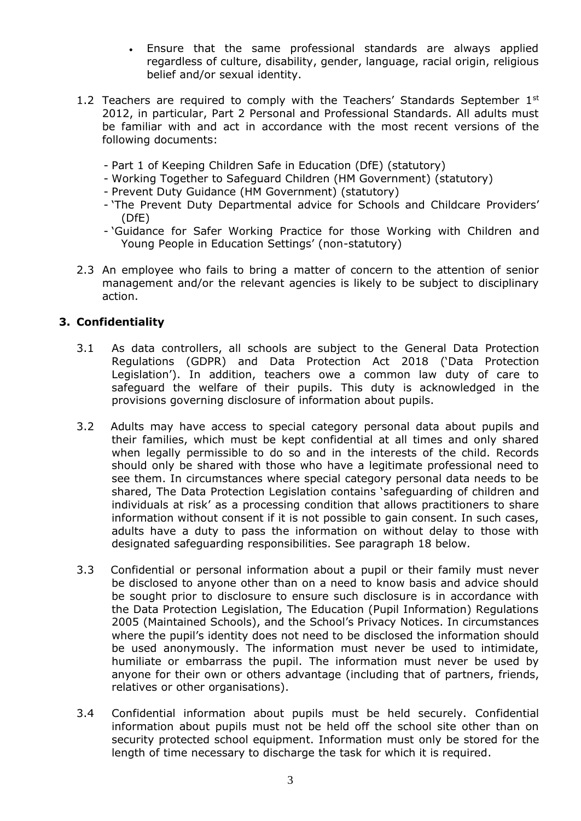- Ensure that the same professional standards are always applied regardless of culture, disability, gender, language, racial origin, religious belief and/or sexual identity.
- 1.2 Teachers are required to comply with the Teachers' Standards September  $1<sup>st</sup>$ 2012, in particular, Part 2 Personal and Professional Standards. All adults must be familiar with and act in accordance with the most recent versions of the following documents:
	- Part 1 of Keeping Children Safe in Education (DfE) (statutory)
	- Working Together to Safeguard Children (HM Government) (statutory)
	- Prevent Duty Guidance (HM Government) (statutory)
	- 'The Prevent Duty Departmental advice for Schools and Childcare Providers' (DfE)
	- 'Guidance for Safer Working Practice for those Working with Children and Young People in Education Settings' (non-statutory)
- 2.3 An employee who fails to bring a matter of concern to the attention of senior management and/or the relevant agencies is likely to be subject to disciplinary action.

# **3. Confidentiality**

- 3.1 As data controllers, all schools are subject to the General Data Protection Regulations (GDPR) and Data Protection Act 2018 ('Data Protection Legislation'). In addition, teachers owe a common law duty of care to safeguard the welfare of their pupils. This duty is acknowledged in the provisions governing disclosure of information about pupils.
- 3.2 Adults may have access to special category personal data about pupils and their families, which must be kept confidential at all times and only shared when legally permissible to do so and in the interests of the child. Records should only be shared with those who have a legitimate professional need to see them. In circumstances where special category personal data needs to be shared, The Data Protection Legislation contains 'safeguarding of children and individuals at risk' as a processing condition that allows practitioners to share information without consent if it is not possible to gain consent. In such cases, adults have a duty to pass the information on without delay to those with designated safeguarding responsibilities. See paragraph 18 below.
- 3.3 Confidential or personal information about a pupil or their family must never be disclosed to anyone other than on a need to know basis and advice should be sought prior to disclosure to ensure such disclosure is in accordance with the Data Protection Legislation, The Education (Pupil Information) Regulations 2005 (Maintained Schools), and the School's Privacy Notices. In circumstances where the pupil's identity does not need to be disclosed the information should be used anonymously. The information must never be used to intimidate, humiliate or embarrass the pupil. The information must never be used by anyone for their own or others advantage (including that of partners, friends, relatives or other organisations).
- 3.4 Confidential information about pupils must be held securely. Confidential information about pupils must not be held off the school site other than on security protected school equipment. Information must only be stored for the length of time necessary to discharge the task for which it is required.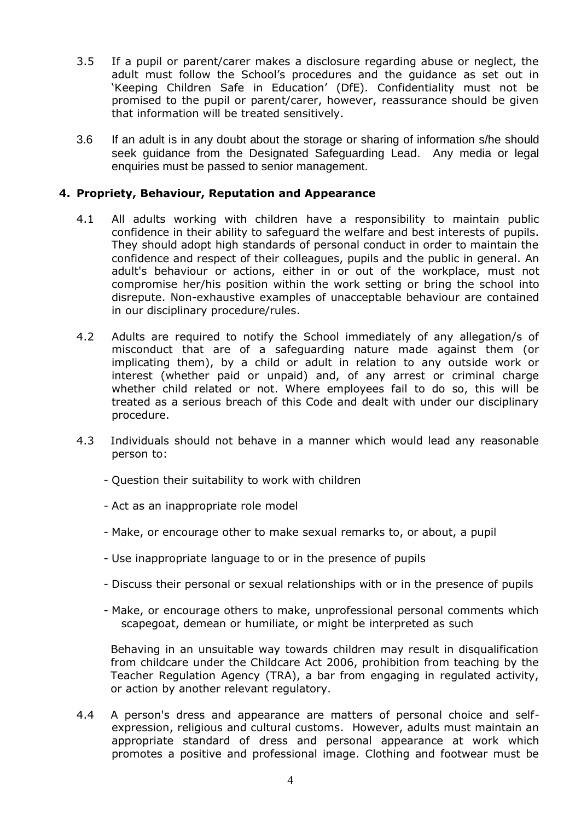- 3.5 If a pupil or parent/carer makes a disclosure regarding abuse or neglect, the adult must follow the School's procedures and the guidance as set out in 'Keeping Children Safe in Education' (DfE). Confidentiality must not be promised to the pupil or parent/carer, however, reassurance should be given that information will be treated sensitively.
- 3.6 If an adult is in any doubt about the storage or sharing of information s/he should seek guidance from the Designated Safeguarding Lead. Any media or legal enquiries must be passed to senior management.

## **4. Propriety, Behaviour, Reputation and Appearance**

- 4.1 All adults working with children have a responsibility to maintain public confidence in their ability to safeguard the welfare and best interests of pupils. They should adopt high standards of personal conduct in order to maintain the confidence and respect of their colleagues, pupils and the public in general. An adult's behaviour or actions, either in or out of the workplace, must not compromise her/his position within the work setting or bring the school into disrepute. Non-exhaustive examples of unacceptable behaviour are contained in our disciplinary procedure/rules.
- 4.2 Adults are required to notify the School immediately of any allegation/s of misconduct that are of a safeguarding nature made against them (or implicating them), by a child or adult in relation to any outside work or interest (whether paid or unpaid) and, of any arrest or criminal charge whether child related or not. Where employees fail to do so, this will be treated as a serious breach of this Code and dealt with under our disciplinary procedure.
- 4.3 Individuals should not behave in a manner which would lead any reasonable person to:
	- Question their suitability to work with children
	- Act as an inappropriate role model
	- Make, or encourage other to make sexual remarks to, or about, a pupil
	- Use inappropriate language to or in the presence of pupils
	- Discuss their personal or sexual relationships with or in the presence of pupils
	- Make, or encourage others to make, unprofessional personal comments which scapegoat, demean or humiliate, or might be interpreted as such

Behaving in an unsuitable way towards children may result in disqualification from childcare under the Childcare Act 2006, prohibition from teaching by the Teacher Regulation Agency (TRA), a bar from engaging in regulated activity, or action by another relevant regulatory.

4.4 A person's dress and appearance are matters of personal choice and selfexpression, religious and cultural customs. However, adults must maintain an appropriate standard of dress and personal appearance at work which promotes a positive and professional image. Clothing and footwear must be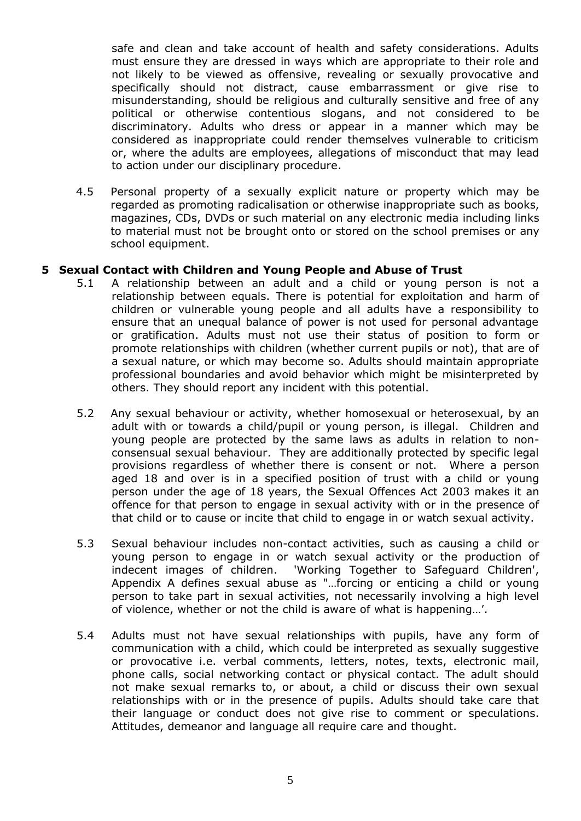safe and clean and take account of health and safety considerations. Adults must ensure they are dressed in ways which are appropriate to their role and not likely to be viewed as offensive, revealing or sexually provocative and specifically should not distract, cause embarrassment or give rise to misunderstanding, should be religious and culturally sensitive and free of any political or otherwise contentious slogans, and not considered to be discriminatory. Adults who dress or appear in a manner which may be considered as inappropriate could render themselves vulnerable to criticism or, where the adults are employees, allegations of misconduct that may lead to action under our disciplinary procedure.

4.5 Personal property of a sexually explicit nature or property which may be regarded as promoting radicalisation or otherwise inappropriate such as books, magazines, CDs, DVDs or such material on any electronic media including links to material must not be brought onto or stored on the school premises or any school equipment.

#### **5 Sexual Contact with Children and Young People and Abuse of Trust**

- 5.1 A relationship between an adult and a child or young person is not a relationship between equals. There is potential for exploitation and harm of children or vulnerable young people and all adults have a responsibility to ensure that an unequal balance of power is not used for personal advantage or gratification. Adults must not use their status of position to form or promote relationships with children (whether current pupils or not), that are of a sexual nature, or which may become so. Adults should maintain appropriate professional boundaries and avoid behavior which might be misinterpreted by others. They should report any incident with this potential.
- 5.2 Any sexual behaviour or activity, whether homosexual or heterosexual, by an adult with or towards a child/pupil or young person, is illegal. Children and young people are protected by the same laws as adults in relation to nonconsensual sexual behaviour. They are additionally protected by specific legal provisions regardless of whether there is consent or not. Where a person aged 18 and over is in a specified position of trust with a child or young person under the age of 18 years, the Sexual Offences Act 2003 makes it an offence for that person to engage in sexual activity with or in the presence of that child or to cause or incite that child to engage in or watch sexual activity.
- 5.3 Sexual behaviour includes non-contact activities, such as causing a child or young person to engage in or watch sexual activity or the production of indecent images of children. 'Working Together to Safeguard Children', Appendix A defines *s*exual abuse as "…forcing or enticing a child or young person to take part in sexual activities, not necessarily involving a high level of violence, whether or not the child is aware of what is happening…'.
- 5.4 Adults must not have sexual relationships with pupils, have any form of communication with a child, which could be interpreted as sexually suggestive or provocative i.e. verbal comments, letters, notes, texts, electronic mail, phone calls, social networking contact or physical contact. The adult should not make sexual remarks to, or about, a child or discuss their own sexual relationships with or in the presence of pupils. Adults should take care that their language or conduct does not give rise to comment or speculations. Attitudes, demeanor and language all require care and thought.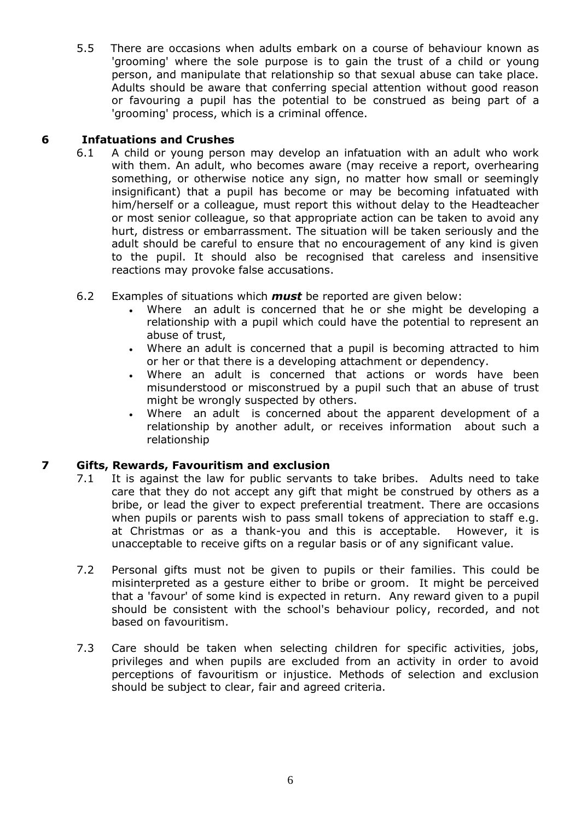5.5 There are occasions when adults embark on a course of behaviour known as 'grooming' where the sole purpose is to gain the trust of a child or young person, and manipulate that relationship so that sexual abuse can take place. Adults should be aware that conferring special attention without good reason or favouring a pupil has the potential to be construed as being part of a 'grooming' process, which is a criminal offence.

# **6 Infatuations and Crushes**

- 6.1 A child or young person may develop an infatuation with an adult who work with them. An adult, who becomes aware (may receive a report, overhearing something, or otherwise notice any sign, no matter how small or seemingly insignificant) that a pupil has become or may be becoming infatuated with him/herself or a colleague, must report this without delay to the Headteacher or most senior colleague, so that appropriate action can be taken to avoid any hurt, distress or embarrassment. The situation will be taken seriously and the adult should be careful to ensure that no encouragement of any kind is given to the pupil. It should also be recognised that careless and insensitive reactions may provoke false accusations.
- 6.2 Examples of situations which *must* be reported are given below:
	- Where an adult is concerned that he or she might be developing a relationship with a pupil which could have the potential to represent an abuse of trust,
	- Where an adult is concerned that a pupil is becoming attracted to him or her or that there is a developing attachment or dependency.
	- Where an adult is concerned that actions or words have been misunderstood or misconstrued by a pupil such that an abuse of trust might be wrongly suspected by others.
	- Where an adult is concerned about the apparent development of a relationship by another adult, or receives information about such a relationship

# **7 Gifts, Rewards, Favouritism and exclusion**

- 7.1 It is against the law for public servants to take bribes. Adults need to take care that they do not accept any gift that might be construed by others as a bribe, or lead the giver to expect preferential treatment. There are occasions when pupils or parents wish to pass small tokens of appreciation to staff e.g. at Christmas or as a thank-you and this is acceptable. However, it is unacceptable to receive gifts on a regular basis or of any significant value.
- 7.2 Personal gifts must not be given to pupils or their families. This could be misinterpreted as a gesture either to bribe or groom. It might be perceived that a 'favour' of some kind is expected in return. Any reward given to a pupil should be consistent with the school's behaviour policy, recorded, and not based on favouritism.
- 7.3 Care should be taken when selecting children for specific activities, jobs, privileges and when pupils are excluded from an activity in order to avoid perceptions of favouritism or injustice. Methods of selection and exclusion should be subject to clear, fair and agreed criteria.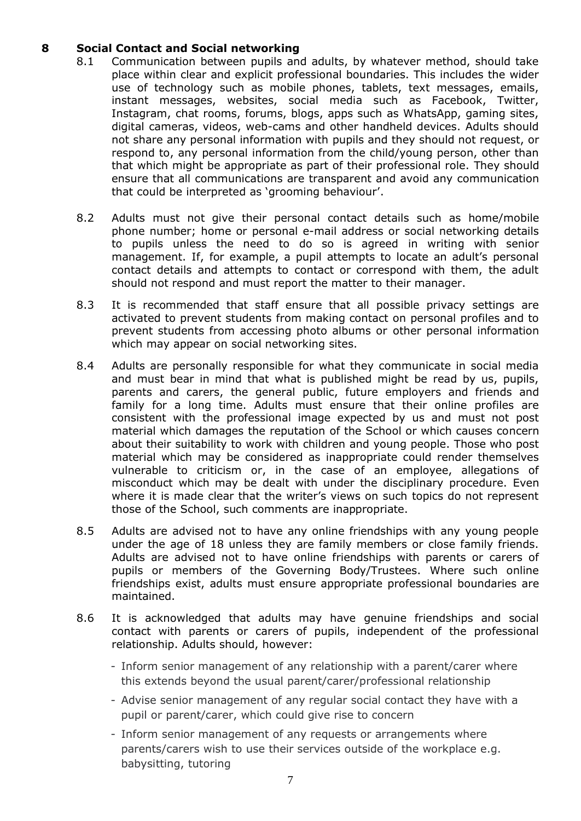# **8 Social Contact and Social networking**

- 8.1 Communication between pupils and adults, by whatever method, should take place within clear and explicit professional boundaries. This includes the wider use of technology such as mobile phones, tablets, text messages, emails, instant messages, websites, social media such as Facebook, Twitter, Instagram, chat rooms, forums, blogs, apps such as WhatsApp, gaming sites, digital cameras, videos, web-cams and other handheld devices. Adults should not share any personal information with pupils and they should not request, or respond to, any personal information from the child/young person, other than that which might be appropriate as part of their professional role. They should ensure that all communications are transparent and avoid any communication that could be interpreted as 'grooming behaviour'.
- 8.2 Adults must not give their personal contact details such as home/mobile phone number; home or personal e-mail address or social networking details to pupils unless the need to do so is agreed in writing with senior management. If, for example, a pupil attempts to locate an adult's personal contact details and attempts to contact or correspond with them, the adult should not respond and must report the matter to their manager.
- 8.3 It is recommended that staff ensure that all possible privacy settings are activated to prevent students from making contact on personal profiles and to prevent students from accessing photo albums or other personal information which may appear on social networking sites.
- 8.4 Adults are personally responsible for what they communicate in social media and must bear in mind that what is published might be read by us, pupils, parents and carers, the general public, future employers and friends and family for a long time. Adults must ensure that their online profiles are consistent with the professional image expected by us and must not post material which damages the reputation of the School or which causes concern about their suitability to work with children and young people. Those who post material which may be considered as inappropriate could render themselves vulnerable to criticism or, in the case of an employee, allegations of misconduct which may be dealt with under the disciplinary procedure. Even where it is made clear that the writer's views on such topics do not represent those of the School, such comments are inappropriate.
- 8.5 Adults are advised not to have any online friendships with any young people under the age of 18 unless they are family members or close family friends. Adults are advised not to have online friendships with parents or carers of pupils or members of the Governing Body/Trustees. Where such online friendships exist, adults must ensure appropriate professional boundaries are maintained.
- 8.6 It is acknowledged that adults may have genuine friendships and social contact with parents or carers of pupils, independent of the professional relationship. Adults should, however:
	- Inform senior management of any relationship with a parent/carer where this extends beyond the usual parent/carer/professional relationship
	- Advise senior management of any regular social contact they have with a pupil or parent/carer, which could give rise to concern
	- Inform senior management of any requests or arrangements where parents/carers wish to use their services outside of the workplace e.g. babysitting, tutoring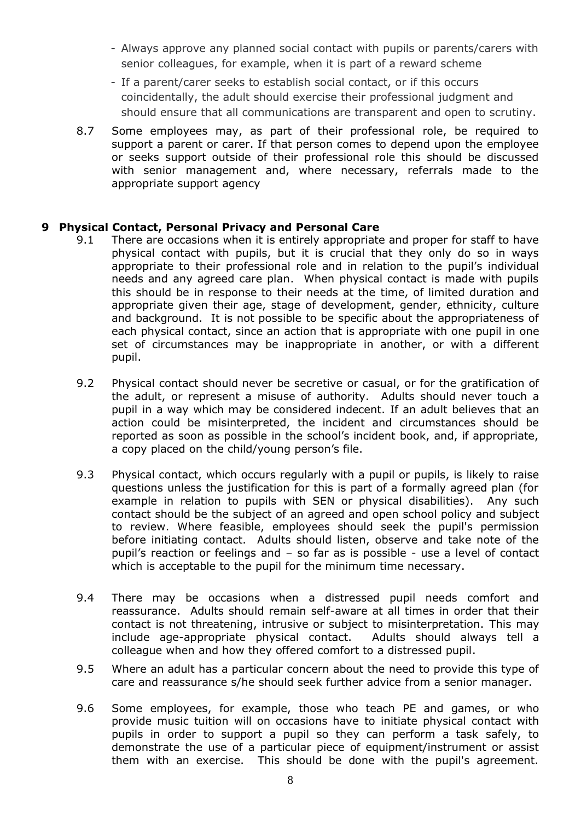- Always approve any planned social contact with pupils or parents/carers with senior colleagues, for example, when it is part of a reward scheme
- If a parent/carer seeks to establish social contact, or if this occurs coincidentally, the adult should exercise their professional judgment and should ensure that all communications are transparent and open to scrutiny.
- 8.7 Some employees may, as part of their professional role, be required to support a parent or carer. If that person comes to depend upon the employee or seeks support outside of their professional role this should be discussed with senior management and, where necessary, referrals made to the appropriate support agency

#### **9 Physical Contact, Personal Privacy and Personal Care**

- 9.1 There are occasions when it is entirely appropriate and proper for staff to have physical contact with pupils, but it is crucial that they only do so in ways appropriate to their professional role and in relation to the pupil's individual needs and any agreed care plan. When physical contact is made with pupils this should be in response to their needs at the time, of limited duration and appropriate given their age, stage of development, gender, ethnicity, culture and background. It is not possible to be specific about the appropriateness of each physical contact, since an action that is appropriate with one pupil in one set of circumstances may be inappropriate in another, or with a different pupil.
- 9.2 Physical contact should never be secretive or casual, or for the gratification of the adult, or represent a misuse of authority. Adults should never touch a pupil in a way which may be considered indecent. If an adult believes that an action could be misinterpreted, the incident and circumstances should be reported as soon as possible in the school's incident book, and, if appropriate, a copy placed on the child/young person's file.
- 9.3 Physical contact, which occurs regularly with a pupil or pupils, is likely to raise questions unless the justification for this is part of a formally agreed plan (for example in relation to pupils with SEN or physical disabilities). Any such contact should be the subject of an agreed and open school policy and subject to review. Where feasible, employees should seek the pupil's permission before initiating contact. Adults should listen, observe and take note of the pupil's reaction or feelings and – so far as is possible - use a level of contact which is acceptable to the pupil for the minimum time necessary.
- 9.4 There may be occasions when a distressed pupil needs comfort and reassurance. Adults should remain self-aware at all times in order that their contact is not threatening, intrusive or subject to misinterpretation. This may include age-appropriate physical contact. Adults should always tell a colleague when and how they offered comfort to a distressed pupil.
- 9.5 Where an adult has a particular concern about the need to provide this type of care and reassurance s/he should seek further advice from a senior manager.
- 9.6 Some employees, for example, those who teach PE and games, or who provide music tuition will on occasions have to initiate physical contact with pupils in order to support a pupil so they can perform a task safely, to demonstrate the use of a particular piece of equipment/instrument or assist them with an exercise. This should be done with the pupil's agreement.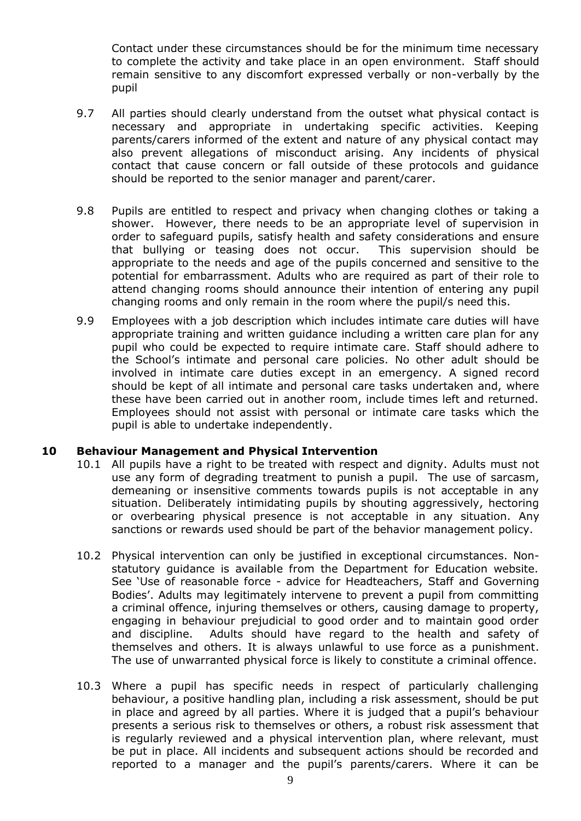Contact under these circumstances should be for the minimum time necessary to complete the activity and take place in an open environment. Staff should remain sensitive to any discomfort expressed verbally or non-verbally by the pupil

- 9.7 All parties should clearly understand from the outset what physical contact is necessary and appropriate in undertaking specific activities. Keeping parents/carers informed of the extent and nature of any physical contact may also prevent allegations of misconduct arising. Any incidents of physical contact that cause concern or fall outside of these protocols and guidance should be reported to the senior manager and parent/carer.
- 9.8 Pupils are entitled to respect and privacy when changing clothes or taking a shower. However, there needs to be an appropriate level of supervision in order to safeguard pupils, satisfy health and safety considerations and ensure that bullying or teasing does not occur. This supervision should be appropriate to the needs and age of the pupils concerned and sensitive to the potential for embarrassment. Adults who are required as part of their role to attend changing rooms should announce their intention of entering any pupil changing rooms and only remain in the room where the pupil/s need this.
- 9.9 Employees with a job description which includes intimate care duties will have appropriate training and written guidance including a written care plan for any pupil who could be expected to require intimate care. Staff should adhere to the School's intimate and personal care policies. No other adult should be involved in intimate care duties except in an emergency. A signed record should be kept of all intimate and personal care tasks undertaken and, where these have been carried out in another room, include times left and returned. Employees should not assist with personal or intimate care tasks which the pupil is able to undertake independently.

#### **10 Behaviour Management and Physical Intervention**

- 10.1 All pupils have a right to be treated with respect and dignity. Adults must not use any form of degrading treatment to punish a pupil. The use of sarcasm, demeaning or insensitive comments towards pupils is not acceptable in any situation. Deliberately intimidating pupils by shouting aggressively, hectoring or overbearing physical presence is not acceptable in any situation. Any sanctions or rewards used should be part of the behavior management policy.
- 10.2 Physical intervention can only be justified in exceptional circumstances. Nonstatutory guidance is available from the Department for Education website. See 'Use of reasonable force - advice for Headteachers, Staff and Governing Bodies'. Adults may legitimately intervene to prevent a pupil from committing a criminal offence, injuring themselves or others, causing damage to property, engaging in behaviour prejudicial to good order and to maintain good order and discipline. Adults should have regard to the health and safety of themselves and others. It is always unlawful to use force as a punishment. The use of unwarranted physical force is likely to constitute a criminal offence.
- 10.3 Where a pupil has specific needs in respect of particularly challenging behaviour, a positive handling plan, including a risk assessment, should be put in place and agreed by all parties. Where it is judged that a pupil's behaviour presents a serious risk to themselves or others, a robust risk assessment that is regularly reviewed and a physical intervention plan, where relevant, must be put in place. All incidents and subsequent actions should be recorded and reported to a manager and the pupil's parents/carers. Where it can be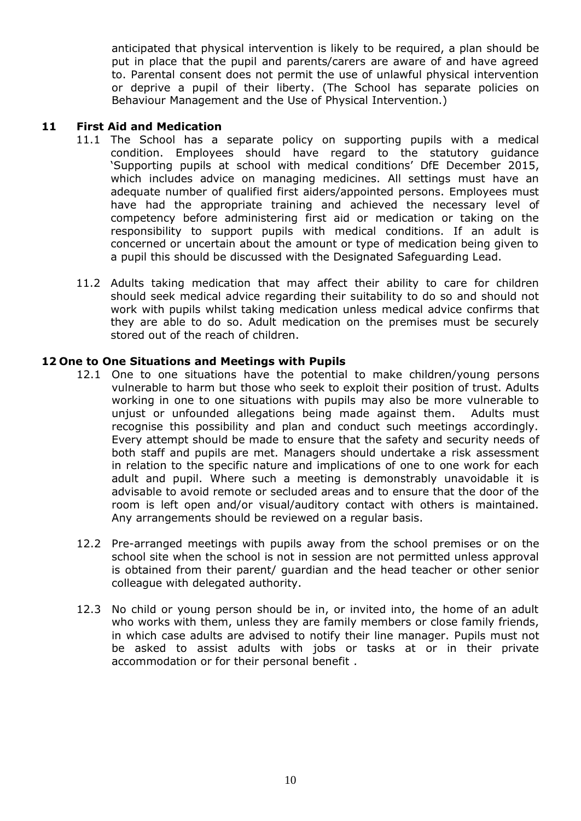anticipated that physical intervention is likely to be required, a plan should be put in place that the pupil and parents/carers are aware of and have agreed to. Parental consent does not permit the use of unlawful physical intervention or deprive a pupil of their liberty. (The School has separate policies on Behaviour Management and the Use of Physical Intervention.)

#### **11 First Aid and Medication**

- 11.1 The School has a separate policy on supporting pupils with a medical condition. Employees should have regard to the statutory guidance 'Supporting pupils at school with medical conditions' DfE December 2015, which includes advice on managing medicines. All settings must have an adequate number of qualified first aiders/appointed persons. Employees must have had the appropriate training and achieved the necessary level of competency before administering first aid or medication or taking on the responsibility to support pupils with medical conditions. If an adult is concerned or uncertain about the amount or type of medication being given to a pupil this should be discussed with the Designated Safeguarding Lead.
- 11.2 Adults taking medication that may affect their ability to care for children should seek medical advice regarding their suitability to do so and should not work with pupils whilst taking medication unless medical advice confirms that they are able to do so. Adult medication on the premises must be securely stored out of the reach of children.

#### **12 One to One Situations and Meetings with Pupils**

- 12.1 One to one situations have the potential to make children/young persons vulnerable to harm but those who seek to exploit their position of trust. Adults working in one to one situations with pupils may also be more vulnerable to unjust or unfounded allegations being made against them. Adults must recognise this possibility and plan and conduct such meetings accordingly. Every attempt should be made to ensure that the safety and security needs of both staff and pupils are met. Managers should undertake a risk assessment in relation to the specific nature and implications of one to one work for each adult and pupil. Where such a meeting is demonstrably unavoidable it is advisable to avoid remote or secluded areas and to ensure that the door of the room is left open and/or visual/auditory contact with others is maintained. Any arrangements should be reviewed on a regular basis.
- 12.2 Pre-arranged meetings with pupils away from the school premises or on the school site when the school is not in session are not permitted unless approval is obtained from their parent/ guardian and the head teacher or other senior colleague with delegated authority.
- 12.3 No child or young person should be in, or invited into, the home of an adult who works with them, unless they are family members or close family friends, in which case adults are advised to notify their line manager. Pupils must not be asked to assist adults with jobs or tasks at or in their private accommodation or for their personal benefit .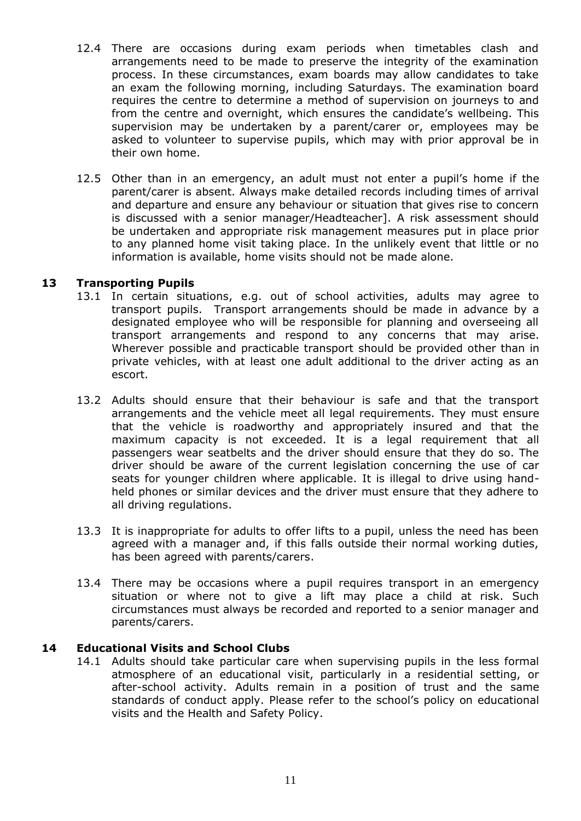- 12.4 There are occasions during exam periods when timetables clash and arrangements need to be made to preserve the integrity of the examination process. In these circumstances, exam boards may allow candidates to take an exam the following morning, including Saturdays. The examination board requires the centre to determine a method of supervision on journeys to and from the centre and overnight, which ensures the candidate's wellbeing. This supervision may be undertaken by a parent/carer or, employees may be asked to volunteer to supervise pupils, which may with prior approval be in their own home.
- 12.5 Other than in an emergency, an adult must not enter a pupil's home if the parent/carer is absent. Always make detailed records including times of arrival and departure and ensure any behaviour or situation that gives rise to concern is discussed with a senior manager/Headteacher]. A risk assessment should be undertaken and appropriate risk management measures put in place prior to any planned home visit taking place. In the unlikely event that little or no information is available, home visits should not be made alone.

#### **13 Transporting Pupils**

- 13.1 In certain situations, e.g. out of school activities, adults may agree to transport pupils. Transport arrangements should be made in advance by a designated employee who will be responsible for planning and overseeing all transport arrangements and respond to any concerns that may arise. Wherever possible and practicable transport should be provided other than in private vehicles, with at least one adult additional to the driver acting as an escort.
- 13.2 Adults should ensure that their behaviour is safe and that the transport arrangements and the vehicle meet all legal requirements. They must ensure that the vehicle is roadworthy and appropriately insured and that the maximum capacity is not exceeded. It is a legal requirement that all passengers wear seatbelts and the driver should ensure that they do so. The driver should be aware of the current legislation concerning the use of car seats for younger children where applicable. It is illegal to drive using handheld phones or similar devices and the driver must ensure that they adhere to all driving regulations.
- 13.3 It is inappropriate for adults to offer lifts to a pupil, unless the need has been agreed with a manager and, if this falls outside their normal working duties, has been agreed with parents/carers.
- 13.4 There may be occasions where a pupil requires transport in an emergency situation or where not to give a lift may place a child at risk. Such circumstances must always be recorded and reported to a senior manager and parents/carers.

#### **14 Educational Visits and School Clubs**

14.1 Adults should take particular care when supervising pupils in the less formal atmosphere of an educational visit, particularly in a residential setting, or after-school activity. Adults remain in a position of trust and the same standards of conduct apply. Please refer to the school's policy on educational visits and the Health and Safety Policy.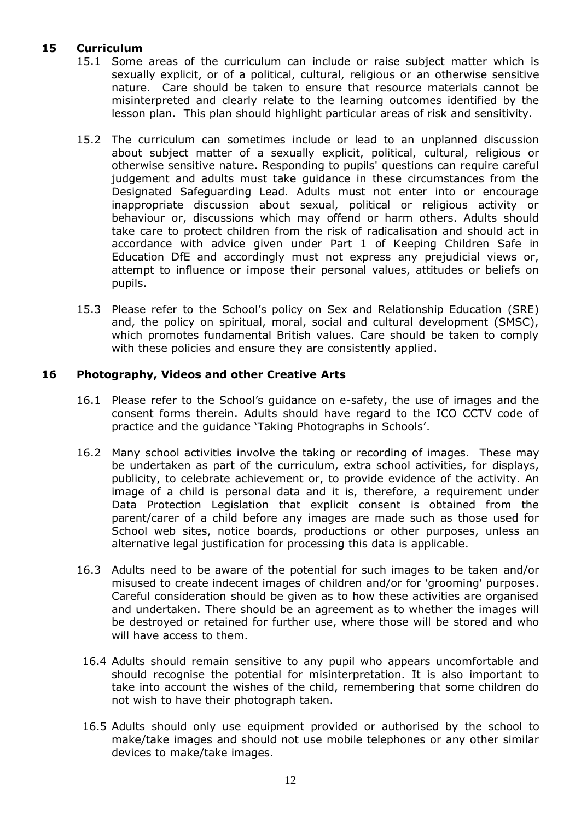# **15 Curriculum**

- 15.1 Some areas of the curriculum can include or raise subject matter which is sexually explicit, or of a political, cultural, religious or an otherwise sensitive nature. Care should be taken to ensure that resource materials cannot be misinterpreted and clearly relate to the learning outcomes identified by the lesson plan. This plan should highlight particular areas of risk and sensitivity.
- 15.2 The curriculum can sometimes include or lead to an unplanned discussion about subject matter of a sexually explicit, political, cultural, religious or otherwise sensitive nature. Responding to pupils' questions can require careful judgement and adults must take guidance in these circumstances from the Designated Safeguarding Lead. Adults must not enter into or encourage inappropriate discussion about sexual, political or religious activity or behaviour or, discussions which may offend or harm others. Adults should take care to protect children from the risk of radicalisation and should act in accordance with advice given under Part 1 of Keeping Children Safe in Education DfE and accordingly must not express any prejudicial views or, attempt to influence or impose their personal values, attitudes or beliefs on pupils.
- 15.3 Please refer to the School's policy on Sex and Relationship Education (SRE) and, the policy on spiritual, moral, social and cultural development (SMSC), which promotes fundamental British values. Care should be taken to comply with these policies and ensure they are consistently applied.

# **16 Photography, Videos and other Creative Arts**

- 16.1 Please refer to the School's guidance on e-safety, the use of images and the consent forms therein. Adults should have regard to the ICO CCTV code of practice and the guidance 'Taking Photographs in Schools'.
- 16.2 Many school activities involve the taking or recording of images. These may be undertaken as part of the curriculum, extra school activities, for displays, publicity, to celebrate achievement or, to provide evidence of the activity. An image of a child is personal data and it is, therefore, a requirement under Data Protection Legislation that explicit consent is obtained from the parent/carer of a child before any images are made such as those used for School web sites, notice boards, productions or other purposes, unless an alternative legal justification for processing this data is applicable.
- 16.3 Adults need to be aware of the potential for such images to be taken and/or misused to create indecent images of children and/or for 'grooming' purposes. Careful consideration should be given as to how these activities are organised and undertaken. There should be an agreement as to whether the images will be destroyed or retained for further use, where those will be stored and who will have access to them.
- 16.4 Adults should remain sensitive to any pupil who appears uncomfortable and should recognise the potential for misinterpretation. It is also important to take into account the wishes of the child, remembering that some children do not wish to have their photograph taken.
- 16.5 Adults should only use equipment provided or authorised by the school to make/take images and should not use mobile telephones or any other similar devices to make/take images.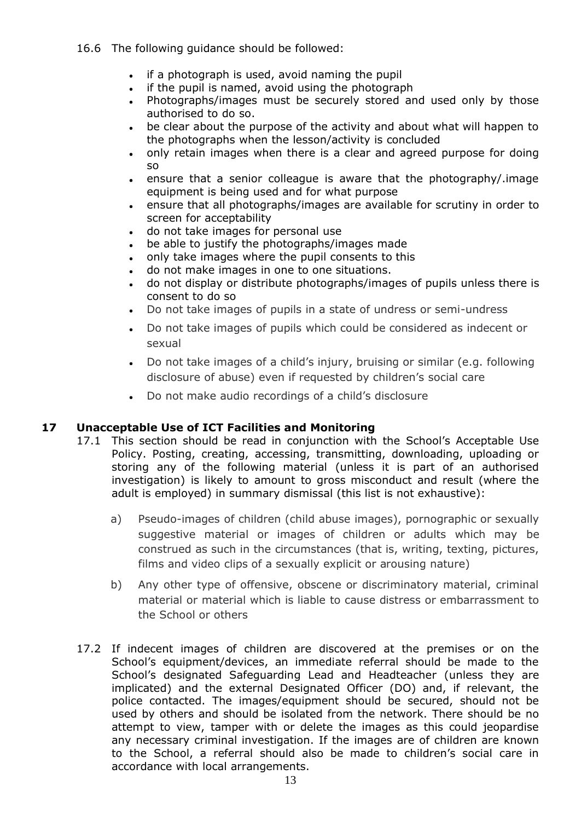## 16.6 The following guidance should be followed:

- if a photograph is used, avoid naming the pupil
- if the pupil is named, avoid using the photograph
- Photographs/images must be securely stored and used only by those authorised to do so.
- be clear about the purpose of the activity and about what will happen to the photographs when the lesson/activity is concluded
- only retain images when there is a clear and agreed purpose for doing so
- ensure that a senior colleague is aware that the photography/.image equipment is being used and for what purpose
- ensure that all photographs/images are available for scrutiny in order to screen for acceptability
- do not take images for personal use
- be able to justify the photographs/images made
- only take images where the pupil consents to this
- do not make images in one to one situations.
- do not display or distribute photographs/images of pupils unless there is consent to do so
- Do not take images of pupils in a state of undress or semi-undress
- Do not take images of pupils which could be considered as indecent or sexual
- Do not take images of a child's injury, bruising or similar (e.g. following disclosure of abuse) even if requested by children's social care
- Do not make audio recordings of a child's disclosure

## **17 Unacceptable Use of ICT Facilities and Monitoring**

- 17.1 This section should be read in conjunction with the School's Acceptable Use Policy. Posting, creating, accessing, transmitting, downloading, uploading or storing any of the following material (unless it is part of an authorised investigation) is likely to amount to gross misconduct and result (where the adult is employed) in summary dismissal (this list is not exhaustive):
	- a) Pseudo-images of children (child abuse images), pornographic or sexually suggestive material or images of children or adults which may be construed as such in the circumstances (that is, writing, texting, pictures, films and video clips of a sexually explicit or arousing nature)
	- b) Any other type of offensive, obscene or discriminatory material, criminal material or material which is liable to cause distress or embarrassment to the School or others
- 17.2 If indecent images of children are discovered at the premises or on the School's equipment/devices, an immediate referral should be made to the School's designated Safeguarding Lead and Headteacher (unless they are implicated) and the external Designated Officer (DO) and, if relevant, the police contacted. The images/equipment should be secured, should not be used by others and should be isolated from the network. There should be no attempt to view, tamper with or delete the images as this could jeopardise any necessary criminal investigation. If the images are of children are known to the School, a referral should also be made to children's social care in accordance with local arrangements.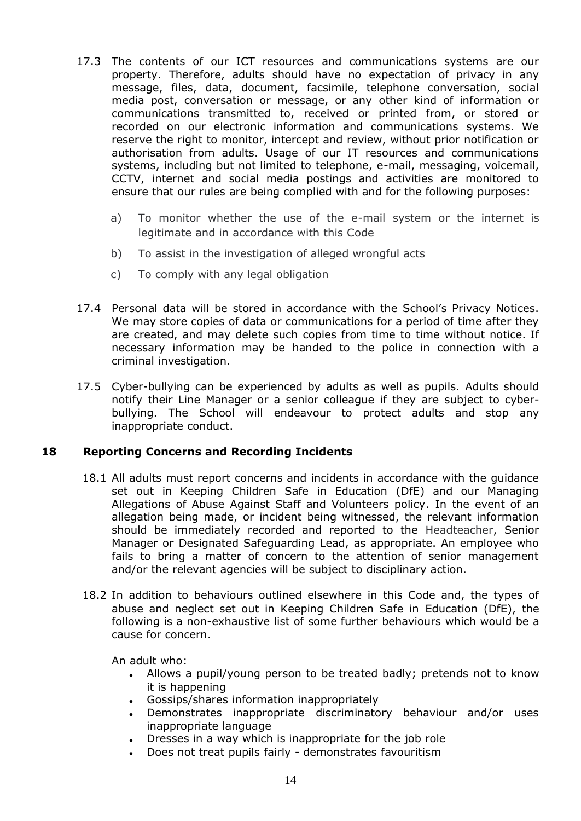- 17.3 The contents of our ICT resources and communications systems are our property. Therefore, adults should have no expectation of privacy in any message, files, data, document, facsimile, telephone conversation, social media post, conversation or message, or any other kind of information or communications transmitted to, received or printed from, or stored or recorded on our electronic information and communications systems. We reserve the right to monitor, intercept and review, without prior notification or authorisation from adults. Usage of our IT resources and communications systems, including but not limited to telephone, e-mail, messaging, voicemail, CCTV, internet and social media postings and activities are monitored to ensure that our rules are being complied with and for the following purposes:
	- a) To monitor whether the use of the e-mail system or the internet is legitimate and in accordance with this Code
	- b) To assist in the investigation of alleged wrongful acts
	- c) To comply with any legal obligation
- 17.4 Personal data will be stored in accordance with the School's Privacy Notices. We may store copies of data or communications for a period of time after they are created, and may delete such copies from time to time without notice. If necessary information may be handed to the police in connection with a criminal investigation.
- 17.5 Cyber-bullying can be experienced by adults as well as pupils. Adults should notify their Line Manager or a senior colleague if they are subject to cyberbullying. The School will endeavour to protect adults and stop any inappropriate conduct.

## **18 Reporting Concerns and Recording Incidents**

- 18.1 All adults must report concerns and incidents in accordance with the guidance set out in Keeping Children Safe in Education (DfE) and our Managing Allegations of Abuse Against Staff and Volunteers policy. In the event of an allegation being made, or incident being witnessed, the relevant information should be immediately recorded and reported to the Headteacher, Senior Manager or Designated Safeguarding Lead, as appropriate. An employee who fails to bring a matter of concern to the attention of senior management and/or the relevant agencies will be subject to disciplinary action.
- 18.2 In addition to behaviours outlined elsewhere in this Code and, the types of abuse and neglect set out in Keeping Children Safe in Education (DfE), the following is a non-exhaustive list of some further behaviours which would be a cause for concern.

An adult who:

- Allows a pupil/young person to be treated badly; pretends not to know it is happening
- Gossips/shares information inappropriately
- Demonstrates inappropriate discriminatory behaviour and/or uses inappropriate language
- Dresses in a way which is inappropriate for the job role
- Does not treat pupils fairly demonstrates favouritism